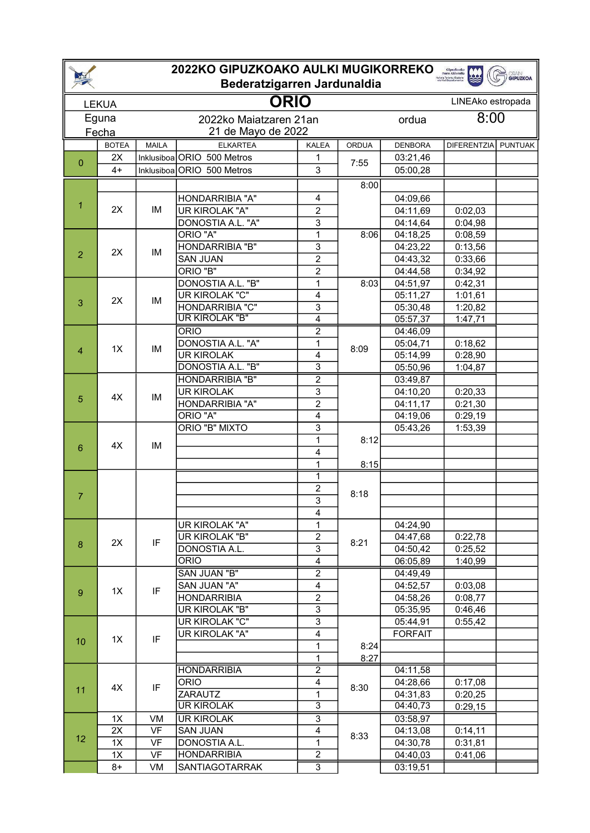| 2022KO GIPUZKOAKO AULKI MUGIKORREKO<br>Gipuzkoako<br>Foru Aldundia |              |              |                                              |                              |              |                        |                   |                |  |
|--------------------------------------------------------------------|--------------|--------------|----------------------------------------------|------------------------------|--------------|------------------------|-------------------|----------------|--|
| <b>GRAIN</b><br><b>GIPUZKOA</b><br>Bederatzigarren Jardunaldia     |              |              |                                              |                              |              |                        |                   |                |  |
|                                                                    | <b>LEKUA</b> | <b>ORIO</b>  |                                              |                              |              |                        | LINEAko estropada |                |  |
| Eguna<br>Fecha                                                     |              |              | 2022ko Maiatzaren 21an<br>21 de Mayo de 2022 | 8:00<br>ordua                |              |                        |                   |                |  |
|                                                                    | <b>BOTEA</b> | <b>MAILA</b> | <b>ELKARTEA</b>                              | <b>KALEA</b>                 | <b>ORDUA</b> | <b>DENBORA</b>         | DIFERENTZIA       | <b>PUNTUAK</b> |  |
|                                                                    | 2X           |              | Inklusiboa ORIO 500 Metros                   | 1                            |              | 03:21,46               |                   |                |  |
| $\mathbf{0}$                                                       | $4+$         |              | Inklusiboa ORIO 500 Metros                   | 3                            | 7:55         | 05:00,28               |                   |                |  |
|                                                                    |              |              |                                              |                              | 8:00         |                        |                   |                |  |
|                                                                    | 2X           |              | HONDARRIBIA "A"                              | 4                            |              | 04:09,66               |                   |                |  |
| 1                                                                  |              | IM           | UR KIROLAK "A"                               | $\overline{c}$               |              | 04:11,69               | 0:02,03           |                |  |
|                                                                    |              |              | DONOSTIA A.L. "A"                            | 3                            |              | 04:14,64               | 0:04,98           |                |  |
|                                                                    |              |              | ORIO "A"                                     | $\overline{1}$               | 8:06         | 04:18,25               | 0:08,59           |                |  |
|                                                                    |              |              | <b>HONDARRIBIA "B"</b>                       | 3                            |              | $\overline{0}$ 4:23,22 | 0:13,56           |                |  |
| $\overline{2}$                                                     | 2X           | IM           | <b>SAN JUAN</b>                              | $\overline{2}$               |              | 04:43,32               | 0:33,66           |                |  |
|                                                                    |              |              | ORIO "B"                                     | $\overline{c}$               |              | 04:44,58               | 0:34,92           |                |  |
|                                                                    |              |              | DONOSTIA A.L.<br>"B"                         | 1                            | 8:03         | 04:51,97               | 0:42,31           |                |  |
|                                                                    | 2X           | IM           | UR KIROLAK "C"                               | 4                            |              | 05:11,27               | 1:01,61           |                |  |
| 3                                                                  |              |              | HONDARRIBIA "C"                              | 3                            |              | 05:30,48               | 1:20,82           |                |  |
|                                                                    |              |              | <b>UR KIROLAK "B"</b>                        | 4                            |              | 05:57,37               | 1:47,71           |                |  |
|                                                                    |              |              | <b>ORIO</b>                                  | $\overline{2}$               | 8:09         | 04:46,09               |                   |                |  |
|                                                                    | 1X           | IM           | <b>DONOSTIA A.L. "A"</b>                     | 1                            |              | 05:04,71               | 0:18,62           |                |  |
| 4                                                                  |              |              | <b>UR KIROLAK</b>                            | 4                            |              | 05:14,99               | 0:28,90           |                |  |
|                                                                    |              |              | <b>DONOSTIA A.L. "B"</b>                     | $\overline{3}$               |              | 05:50,96               | 1:04,87           |                |  |
|                                                                    |              |              | <b>HONDARRIBIA "B"</b>                       | $\overline{2}$               |              | 03:49,87               |                   |                |  |
| 5                                                                  | 4X           | IM           | <b>UR KIROLAK</b>                            | 3                            |              | 04:10,20               | 0:20,33           |                |  |
|                                                                    |              |              | HONDARRIBIA "A"                              | $\overline{2}$               |              | 04:11,17               | 0:21,30           |                |  |
|                                                                    |              |              | ORIO "A"                                     | $\overline{4}$               |              | 04:19,06               | 0:29,19           |                |  |
|                                                                    | 4X           | <b>IM</b>    | ORIO "B" MIXTO                               | 3                            | 8:12         | $\overline{0}$ 5:43,26 | 1:53,39           |                |  |
| 6                                                                  |              |              |                                              | $\mathbf 1$                  |              |                        |                   |                |  |
|                                                                    |              |              |                                              | 4                            |              |                        |                   |                |  |
|                                                                    |              |              |                                              | $\mathbf 1$                  | 8:15         |                        |                   |                |  |
|                                                                    |              |              |                                              | 1<br>$\overline{\mathbf{c}}$ |              |                        |                   |                |  |
| $\overline{7}$                                                     |              |              |                                              | $\overline{3}$               | 8:18         |                        |                   |                |  |
|                                                                    |              |              |                                              | 4                            |              |                        |                   |                |  |
|                                                                    |              |              | UR KIROLAK "A"                               | $\mathbf 1$                  |              | 04:24,90               |                   |                |  |
|                                                                    | 2X           | IF           | UR KIROLAK "B"                               | $\overline{c}$               | 8:21         | 04:47,68               | 0:22,78           |                |  |
| 8                                                                  |              |              | DONOSTIA A.L.                                | 3                            |              | 04:50,42               | 0:25,52           |                |  |
|                                                                    |              |              | <b>ORIO</b>                                  | $\overline{\mathbf{4}}$      |              | 06:05,89               | 1:40,99           |                |  |
|                                                                    |              |              | <b>SAN JUAN "B"</b>                          | $\overline{2}$               |              | 04:49,49               |                   |                |  |
| 9                                                                  | 1X           |              | SAN JUAN "A"                                 | 4                            |              | 04:52,57               | 0:03,08           |                |  |
|                                                                    |              | IF           | <b>HONDARRIBIA</b>                           | $\overline{2}$               |              | 04:58,26               | 0:08,77           |                |  |
|                                                                    |              |              | UR KIROLAK "B"                               | 3                            |              | 05:35,95               | 0:46,46           |                |  |
|                                                                    | 1X           | IF           | UR KIROLAK "C"                               | 3                            | 8:24         | 05:44,91               | 0:55,42           |                |  |
|                                                                    |              |              | UR KIROLAK "A"                               | 4                            |              | <b>FORFAIT</b>         |                   |                |  |
| 10                                                                 |              |              |                                              | $\mathbf 1$                  |              |                        |                   |                |  |
|                                                                    |              |              |                                              | $\mathbf{1}$                 | 8:27         |                        |                   |                |  |
| 11                                                                 |              |              | <b>HONDARRIBIA</b>                           | $\overline{2}$               | 8:30         | 04:11,58               |                   |                |  |
|                                                                    | 4X           | IF           | <b>ORIO</b>                                  | 4                            |              | 04:28,66               | 0:17,08           |                |  |
|                                                                    |              |              | ZARAUTZ                                      | $\mathbf{1}$                 |              | 04:31,83               | 0:20,25           |                |  |
|                                                                    |              |              | <b>UR KIROLAK</b>                            | $\overline{3}$               |              | 04:40,73               | 0:29,15           |                |  |
| 12                                                                 | 1X           | VM           | <b>UR KIROLAK</b>                            | $\overline{3}$               |              | 03:58,97               |                   |                |  |
|                                                                    | 2X           | <b>VF</b>    | <b>SAN JUAN</b>                              | $\overline{4}$               | 8:33         | 04:13,08               | 0:14,11           |                |  |
|                                                                    | 1X           | <b>VF</b>    | DONOSTIA A.L.                                | $\mathbf{1}$                 |              | 04:30,78               | 0:31,81           |                |  |
|                                                                    | 1X           | VF           | <b>HONDARRIBIA</b>                           | $\overline{2}$               |              | 04:40,03               | 0:41,06           |                |  |
|                                                                    | 8+           | VM           | SANTIAGOTARRAK                               | $\overline{3}$               |              | 03:19,51               |                   |                |  |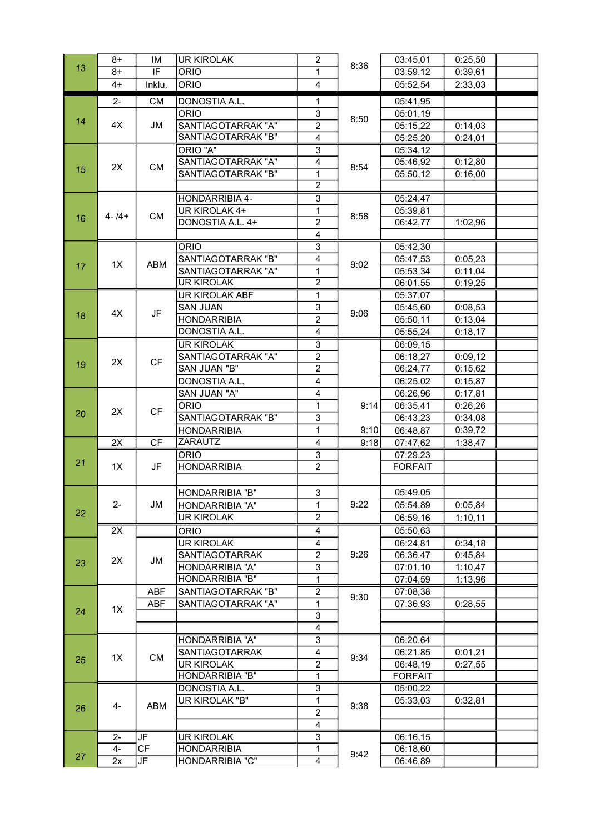|    | $8+$           | IM         | <b>UR KIROLAK</b>                       | $\overline{2}$                   |      | 03:45,01       | 0:25,50 |  |
|----|----------------|------------|-----------------------------------------|----------------------------------|------|----------------|---------|--|
| 13 | $8+$           | IF         | <b>ORIO</b>                             | $\mathbf{1}$                     | 8:36 | 03:59,12       | 0:39,61 |  |
|    | $4+$           | Inklu.     | <b>ORIO</b>                             | $\overline{\mathbf{4}}$          |      | 05:52,54       | 2:33,03 |  |
|    | $2 -$          | <b>CM</b>  | DONOSTIA A.L.                           | 1                                |      | 05:41,95       |         |  |
|    |                |            | <b>ORIO</b>                             | 3                                |      | 05:01,19       |         |  |
| 14 | 4X             | JM         | SANTIAGOTARRAK "A"                      | $\overline{2}$                   | 8:50 | 05:15,22       | 0:14,03 |  |
|    |                |            | SANTIAGOTARRAK "B"                      | $\overline{4}$                   |      | 05:25,20       | 0:24,01 |  |
|    |                |            | ORIO "A"                                | $\overline{3}$                   |      | 05:34,12       |         |  |
|    | 2X             |            | SANTIAGOTARRAK "A"                      | $\overline{4}$                   | 8:54 | 05:46,92       | 0:12,80 |  |
| 15 |                | CM         | SANTIAGOTARRAK "B"                      | $\mathbf 1$                      |      | 05:50,12       | 0:16,00 |  |
|    |                |            |                                         | $\overline{2}$                   |      |                |         |  |
|    | $4 - 14 +$     | <b>CM</b>  | HONDARRIBIA 4-                          | $\overline{3}$                   | 8:58 | 05:24,47       |         |  |
| 16 |                |            | UR KIROLAK 4+                           | 1                                |      | 05:39,81       |         |  |
|    |                |            | DONOSTIA A.L. 4+                        | $\overline{2}$                   |      | 06:42,77       | 1:02,96 |  |
|    |                |            |                                         | 4                                |      |                |         |  |
|    |                |            | <b>ORIO</b>                             | $\overline{3}$                   |      | 05:42,30       |         |  |
|    | 1X             | ABM        | SANTIAGOTARRAK "B"                      | 4                                | 9:02 | 05:47,53       | 0:05,23 |  |
| 17 |                |            | SANTIAGOTARRAK "A"                      | 1                                |      | 05:53,34       | 0:11,04 |  |
|    |                |            | <b>UR KIROLAK</b>                       | $\overline{2}$                   |      | 06:01,55       | 0:19,25 |  |
|    |                |            | <b>UR KIROLAK ABF</b>                   | $\overline{1}$                   |      | 05:37,07       |         |  |
|    |                |            | <b>SAN JUAN</b>                         | 3                                |      | 05:45,60       | 0:08,53 |  |
| 18 | 4X             | JF         | <b>HONDARRIBIA</b>                      | $\overline{2}$                   | 9:06 | 05:50,11       | 0:13,04 |  |
|    |                |            | DONOSTIA A.L.                           | $\overline{\mathbf{4}}$          |      |                |         |  |
|    |                |            |                                         |                                  |      | 05:55,24       | 0:18,17 |  |
|    |                | <b>CF</b>  | <b>UR KIROLAK</b><br>SANTIAGOTARRAK "A" | $\overline{3}$<br>$\overline{2}$ |      | 06:09,15       |         |  |
| 19 | 2X             |            |                                         | $\overline{2}$                   |      | 06:18,27       | 0:09,12 |  |
|    |                |            | SAN JUAN "B"                            |                                  |      | 06:24,77       | 0:15,62 |  |
|    |                |            | DONOSTIA A.L.                           | $\overline{\mathbf{4}}$          |      | 06:25,02       | 0:15,87 |  |
|    | 2X             | <b>CF</b>  | SAN JUAN "A"                            | 4                                | 9:14 | 06:26,96       | 0:17,81 |  |
| 20 |                |            | <b>ORIO</b>                             | $\mathbf 1$                      |      | 06:35,41       | 0:26,26 |  |
|    |                |            | SANTIAGOTARRAK "B"                      | $\overline{3}$                   |      | 06:43,23       | 0:34,08 |  |
|    |                |            | <b>HONDARRIBIA</b>                      | 1                                | 9:10 | 06:48,87       | 0:39,72 |  |
|    | 2X             | <b>CF</b>  | <b>ZARAUTZ</b>                          | $\overline{4}$                   | 9:18 | 07:47,62       | 1:38,47 |  |
| 21 |                | JF         | <b>ORIO</b>                             | $\overline{3}$                   |      | 07:29,23       |         |  |
|    | 1X             |            | <b>HONDARRIBIA</b>                      | $\overline{2}$                   |      | <b>FORFAIT</b> |         |  |
|    |                |            |                                         |                                  |      |                |         |  |
|    | $2 -$          | JM         | HONDARRIBIA "B"                         | 3                                | 9:22 | 05:49,05       |         |  |
| 22 |                |            | HONDARRIBIA "A"                         | 1                                |      | 05:54,89       | 0:05,84 |  |
|    |                |            | <b>UR KIROLAK</b>                       | $\overline{2}$                   |      | 06:59,16       | 1:10,11 |  |
|    | 2X             |            | <b>ORIO</b>                             | 4                                |      | 05:50,63       |         |  |
|    | 2X             | JM         | <b>UR KIROLAK</b>                       | $\overline{\mathbf{4}}$          |      | 06:24,81       | 0:34,18 |  |
| 23 |                |            | <b>SANTIAGOTARRAK</b>                   | $\overline{2}$                   | 9:26 | 06:36,47       | 0:45,84 |  |
|    |                |            | HONDARRIBIA "A"                         | 3                                |      | 07:01,10       | 1:10,47 |  |
|    |                |            | HONDARRIBIA "B"                         | 1                                |      | 07:04,59       | 1:13,96 |  |
|    | 1X             | <b>ABF</b> | SANTIAGOTARRAK "B"                      | $\overline{2}$                   | 9:30 | 07:08,38       |         |  |
|    |                | ABF        | SANTIAGOTARRAK "A"                      | 1                                |      | 07:36,93       | 0:28,55 |  |
| 24 |                |            |                                         | 3                                |      |                |         |  |
|    |                |            |                                         | 4                                |      |                |         |  |
|    | 1X             | <b>CM</b>  | HONDARRIBIA "A"                         | $\overline{3}$                   | 9:34 | 06:20,64       |         |  |
|    |                |            | SANTIAGOTARRAK                          | 4                                |      | 06:21,85       | 0:01,21 |  |
| 25 |                |            | <b>UR KIROLAK</b>                       | $\overline{2}$                   |      | 06:48,19       | 0:27,55 |  |
|    |                |            | HONDARRIBIA "B"                         | 1                                |      | <b>FORFAIT</b> |         |  |
| 26 | $4-$           | ABM        | <b>DONOSTIA A.L.</b>                    | $\overline{3}$                   |      | 05:00,22       |         |  |
|    |                |            | UR KIROLAK "B"                          | 1                                | 9:38 | 05:33,03       | 0:32,81 |  |
|    |                |            |                                         | $\overline{2}$                   |      |                |         |  |
|    |                |            |                                         | 4                                |      |                |         |  |
|    | $\overline{2}$ | JF         | <b>UR KIROLAK</b>                       | $\overline{3}$                   |      | 06:16,15       |         |  |
|    | 4-             | <b>CF</b>  | <b>HONDARRIBIA</b>                      | 1                                |      | 06:18,60       |         |  |
| 27 | 2x             | JF         | HONDARRIBIA "C"                         | $\overline{4}$                   | 9:42 | 06:46,89       |         |  |
|    |                |            |                                         |                                  |      |                |         |  |